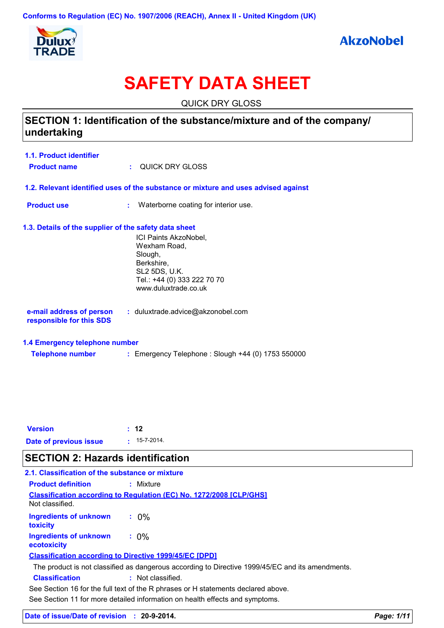

# **SAFETY DATA SHEET**

QUICK DRY GLOSS

# **SECTION 1: Identification of the substance/mixture and of the company/ undertaking**

| 1.1. Product identifier |                   |
|-------------------------|-------------------|
| <b>Product name</b>     | : QUICK DRY GLOSS |

- **1.2. Relevant identified uses of the substance or mixture and uses advised against**
- **Product use <b>:** Waterborne coating for interior use.

### **1.3. Details of the supplier of the safety data sheet**

ICI Paints AkzoNobel, Wexham Road, Slough, Berkshire, SL2 5DS, U.K. Tel.: +44 (0) 333 222 70 70 www.duluxtrade.co.uk

| e-mail address of person | : duluxtrade.advice@akzonobel.com |
|--------------------------|-----------------------------------|
| responsible for this SDS |                                   |

### **1.4 Emergency telephone number**

| <b>Telephone number</b> | Emergency Telephone: Slough +44 (0) 1753 550000 |  |
|-------------------------|-------------------------------------------------|--|
|                         |                                                 |  |

| <b>Version</b>         | $\pm$ 12           |
|------------------------|--------------------|
| Date of previous issue | $: 15 - 7 - 2014.$ |

# **SECTION 2: Hazards identification**

| 2.1. Classification of the substance or mixture |                                                                                                  |
|-------------------------------------------------|--------------------------------------------------------------------------------------------------|
| <b>Product definition</b>                       | : Mixture                                                                                        |
| Not classified.                                 | <b>Classification according to Regulation (EC) No. 1272/2008 [CLP/GHS]</b>                       |
| <b>Ingredients of unknown</b><br>toxicity       | $.0\%$                                                                                           |
| Ingredients of unknown<br>ecotoxicity           | $: 0\%$                                                                                          |
|                                                 | <b>Classification according to Directive 1999/45/EC [DPD]</b>                                    |
|                                                 | The product is not classified as dangerous according to Directive 1999/45/EC and its amendments. |
| <b>Classification</b>                           | : Not classified.                                                                                |
|                                                 | See Section 16 for the full text of the R phrases or H statements declared above.                |
|                                                 | See Section 11 for more detailed information on health effects and symptoms.                     |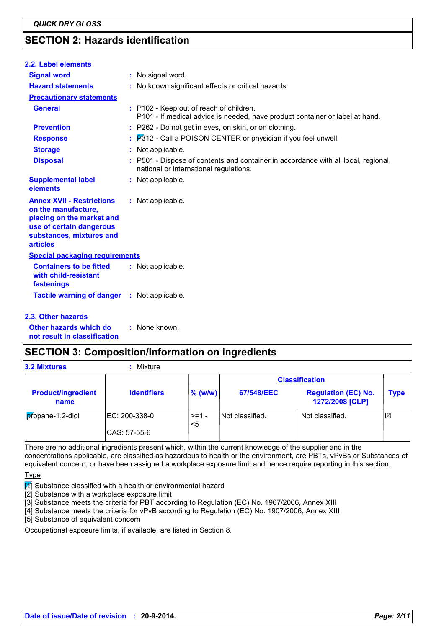# **SECTION 2: Hazards identification**

| 2.2. Label elements                                                                                                                                             |                                                                                                                              |
|-----------------------------------------------------------------------------------------------------------------------------------------------------------------|------------------------------------------------------------------------------------------------------------------------------|
| <b>Signal word</b>                                                                                                                                              | : No signal word.                                                                                                            |
| <b>Hazard statements</b>                                                                                                                                        | : No known significant effects or critical hazards.                                                                          |
| <b>Precautionary statements</b>                                                                                                                                 |                                                                                                                              |
| <b>General</b>                                                                                                                                                  | : P102 - Keep out of reach of children.<br>P101 - If medical advice is needed, have product container or label at hand.      |
| <b>Prevention</b>                                                                                                                                               | : P262 - Do not get in eyes, on skin, or on clothing.                                                                        |
| <b>Response</b>                                                                                                                                                 | $\therefore$ $P312$ - Call a POISON CENTER or physician if you feel unwell.                                                  |
| <b>Storage</b>                                                                                                                                                  | : Not applicable.                                                                                                            |
| <b>Disposal</b>                                                                                                                                                 | : P501 - Dispose of contents and container in accordance with all local, regional,<br>national or international regulations. |
| <b>Supplemental label</b><br>elements                                                                                                                           | : Not applicable.                                                                                                            |
| <b>Annex XVII - Restrictions</b><br>on the manufacture,<br>placing on the market and<br>use of certain dangerous<br>substances, mixtures and<br><b>articles</b> | : Not applicable.                                                                                                            |
| <b>Special packaging requirements</b>                                                                                                                           |                                                                                                                              |
| <b>Containers to be fitted</b><br>with child-resistant<br>fastenings                                                                                            | : Not applicable.                                                                                                            |
| <b>Tactile warning of danger : Not applicable.</b>                                                                                                              |                                                                                                                              |
| <b>2.3. Other hazards</b>                                                                                                                                       |                                                                                                                              |

**Other hazards which do : not result in classification** : None known.

## **SECTION 3: Composition/information on ingredients**

| <b>3.2 Mixtures</b>               | Mixture                       |              |                 |                                               |             |
|-----------------------------------|-------------------------------|--------------|-----------------|-----------------------------------------------|-------------|
|                                   |                               |              |                 | <b>Classification</b>                         |             |
| <b>Product/ingredient</b><br>name | <b>Identifiers</b>            | $\%$ (w/w)   | 67/548/EEC      | <b>Regulation (EC) No.</b><br>1272/2008 [CLP] | <b>Type</b> |
| propane-1,2-diol                  | EC: 200-338-0<br>CAS: 57-55-6 | >=1 -<br>$5$ | Not classified. | Not classified.                               | $[2]$       |

There are no additional ingredients present which, within the current knowledge of the supplier and in the concentrations applicable, are classified as hazardous to health or the environment, are PBTs, vPvBs or Substances of equivalent concern, or have been assigned a workplace exposure limit and hence require reporting in this section.

#### **Type**

 $\mathcal{F}$  Substance classified with a health or environmental hazard

[2] Substance with a workplace exposure limit

[3] Substance meets the criteria for PBT according to Regulation (EC) No. 1907/2006, Annex XIII

[4] Substance meets the criteria for vPvB according to Regulation (EC) No. 1907/2006, Annex XIII

[5] Substance of equivalent concern

Occupational exposure limits, if available, are listed in Section 8.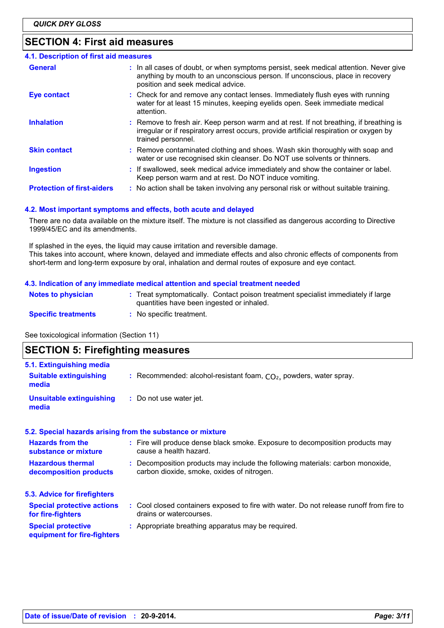# **SECTION 4: First aid measures**

| 4.1. Description of first aid measures |                                                                                                                                                                                                             |
|----------------------------------------|-------------------------------------------------------------------------------------------------------------------------------------------------------------------------------------------------------------|
| <b>General</b>                         | : In all cases of doubt, or when symptoms persist, seek medical attention. Never give<br>anything by mouth to an unconscious person. If unconscious, place in recovery<br>position and seek medical advice. |
| <b>Eye contact</b>                     | : Check for and remove any contact lenses. Immediately flush eyes with running<br>water for at least 15 minutes, keeping eyelids open. Seek immediate medical<br>attention.                                 |
| <b>Inhalation</b>                      | : Remove to fresh air. Keep person warm and at rest. If not breathing, if breathing is<br>irregular or if respiratory arrest occurs, provide artificial respiration or oxygen by<br>trained personnel.      |
| <b>Skin contact</b>                    | : Remove contaminated clothing and shoes. Wash skin thoroughly with soap and<br>water or use recognised skin cleanser. Do NOT use solvents or thinners.                                                     |
| <b>Ingestion</b>                       | : If swallowed, seek medical advice immediately and show the container or label.<br>Keep person warm and at rest. Do NOT induce vomiting.                                                                   |
| <b>Protection of first-aiders</b>      | : No action shall be taken involving any personal risk or without suitable training.                                                                                                                        |

#### **4.2. Most important symptoms and effects, both acute and delayed**

There are no data available on the mixture itself. The mixture is not classified as dangerous according to Directive 1999/45/EC and its amendments.

If splashed in the eyes, the liquid may cause irritation and reversible damage. This takes into account, where known, delayed and immediate effects and also chronic effects of components from short-term and long-term exposure by oral, inhalation and dermal routes of exposure and eye contact.

#### **4.3. Indication of any immediate medical attention and special treatment needed**

| <b>Notes to physician</b>  | : Treat symptomatically. Contact poison treatment specialist immediately if large<br>quantities have been ingested or inhaled. |
|----------------------------|--------------------------------------------------------------------------------------------------------------------------------|
| <b>Specific treatments</b> | No specific treatment.                                                                                                         |

See toxicological information (Section 11)

## **SECTION 5: Firefighting measures**

| 5.1. Extinguishing media                                 |                                                                                                                              |
|----------------------------------------------------------|------------------------------------------------------------------------------------------------------------------------------|
| <b>Suitable extinguishing</b><br>media                   | : Recommended: alcohol-resistant foam, $CO2$ , powders, water spray.                                                         |
| <b>Unsuitable extinguishing</b><br>media                 | : Do not use water jet.                                                                                                      |
|                                                          | 5.2. Special hazards arising from the substance or mixture                                                                   |
| <b>Hazards from the</b><br>substance or mixture          | : Fire will produce dense black smoke. Exposure to decomposition products may<br>cause a health hazard.                      |
| <b>Hazardous thermal</b><br>decomposition products       | : Decomposition products may include the following materials: carbon monoxide,<br>carbon dioxide, smoke, oxides of nitrogen. |
| 5.3. Advice for firefighters                             |                                                                                                                              |
| <b>Special protective actions</b><br>for fire-fighters   | : Cool closed containers exposed to fire with water. Do not release runoff from fire to<br>drains or watercourses.           |
| <b>Special protective</b><br>equipment for fire-fighters | : Appropriate breathing apparatus may be required.                                                                           |
|                                                          |                                                                                                                              |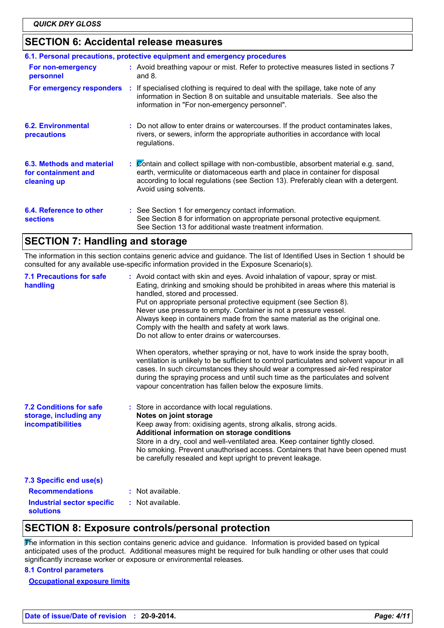## **SECTION 6: Accidental release measures**

|                                                                 | 6.1. Personal precautions, protective equipment and emergency procedures                                                                                                                                                                                                           |
|-----------------------------------------------------------------|------------------------------------------------------------------------------------------------------------------------------------------------------------------------------------------------------------------------------------------------------------------------------------|
| For non-emergency<br>personnel                                  | : Avoid breathing vapour or mist. Refer to protective measures listed in sections 7<br>and $8.$                                                                                                                                                                                    |
|                                                                 | For emergency responders : If specialised clothing is required to deal with the spillage, take note of any<br>information in Section 8 on suitable and unsuitable materials. See also the<br>information in "For non-emergency personnel".                                         |
| <b>6.2. Environmental</b><br>precautions                        | : Do not allow to enter drains or watercourses. If the product contaminates lakes,<br>rivers, or sewers, inform the appropriate authorities in accordance with local<br>regulations.                                                                                               |
| 6.3. Methods and material<br>for containment and<br>cleaning up | : Contain and collect spillage with non-combustible, absorbent material e.g. sand,<br>earth, vermiculite or diatomaceous earth and place in container for disposal<br>according to local regulations (see Section 13). Preferably clean with a detergent.<br>Avoid using solvents. |
| 6.4. Reference to other<br><b>sections</b>                      | : See Section 1 for emergency contact information.<br>See Section 8 for information on appropriate personal protective equipment.<br>See Section 13 for additional waste treatment information.                                                                                    |

## **SECTION 7: Handling and storage**

The information in this section contains generic advice and guidance. The list of Identified Uses in Section 1 should be consulted for any available use-specific information provided in the Exposure Scenario(s).

| <b>7.1 Precautions for safe</b><br>handling                                   | : Avoid contact with skin and eyes. Avoid inhalation of vapour, spray or mist.<br>Eating, drinking and smoking should be prohibited in areas where this material is<br>handled, stored and processed.<br>Put on appropriate personal protective equipment (see Section 8).<br>Never use pressure to empty. Container is not a pressure vessel.<br>Always keep in containers made from the same material as the original one.<br>Comply with the health and safety at work laws.<br>Do not allow to enter drains or watercourses.<br>When operators, whether spraying or not, have to work inside the spray booth,<br>ventilation is unlikely to be sufficient to control particulates and solvent vapour in all<br>cases. In such circumstances they should wear a compressed air-fed respirator<br>during the spraying process and until such time as the particulates and solvent<br>vapour concentration has fallen below the exposure limits. |
|-------------------------------------------------------------------------------|---------------------------------------------------------------------------------------------------------------------------------------------------------------------------------------------------------------------------------------------------------------------------------------------------------------------------------------------------------------------------------------------------------------------------------------------------------------------------------------------------------------------------------------------------------------------------------------------------------------------------------------------------------------------------------------------------------------------------------------------------------------------------------------------------------------------------------------------------------------------------------------------------------------------------------------------------|
| <b>7.2 Conditions for safe</b><br>storage, including any<br>incompatibilities | : Store in accordance with local regulations.<br>Notes on joint storage<br>Keep away from: oxidising agents, strong alkalis, strong acids.<br>Additional information on storage conditions<br>Store in a dry, cool and well-ventilated area. Keep container tightly closed.<br>No smoking. Prevent unauthorised access. Containers that have been opened must<br>be carefully resealed and kept upright to prevent leakage.                                                                                                                                                                                                                                                                                                                                                                                                                                                                                                                       |
| 7.3 Specific end use(s)                                                       |                                                                                                                                                                                                                                                                                                                                                                                                                                                                                                                                                                                                                                                                                                                                                                                                                                                                                                                                                   |
| <b>Recommendations</b>                                                        | : Not available.                                                                                                                                                                                                                                                                                                                                                                                                                                                                                                                                                                                                                                                                                                                                                                                                                                                                                                                                  |
| Industrial sector specific<br>solutions                                       | : Not available.                                                                                                                                                                                                                                                                                                                                                                                                                                                                                                                                                                                                                                                                                                                                                                                                                                                                                                                                  |

## **SECTION 8: Exposure controls/personal protection**

The information in this section contains generic advice and guidance. Information is provided based on typical anticipated uses of the product. Additional measures might be required for bulk handling or other uses that could significantly increase worker or exposure or environmental releases.

### **8.1 Control parameters**

**Occupational exposure limits**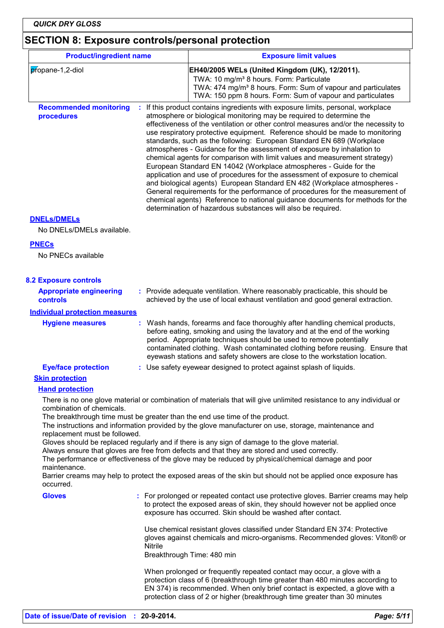# **SECTION 8: Exposure controls/personal protection**

| <b>Product/ingredient name</b>                                  |                                                                                                                                                                                                                                                                                                                                                                                                                                                                                                                                                                                                                                                                                                                                                                                                                                                                                                                                                                                                                                  | <b>Exposure limit values</b>                                                                                                                                                                                                                                                                                                                                                                    |  |  |
|-----------------------------------------------------------------|----------------------------------------------------------------------------------------------------------------------------------------------------------------------------------------------------------------------------------------------------------------------------------------------------------------------------------------------------------------------------------------------------------------------------------------------------------------------------------------------------------------------------------------------------------------------------------------------------------------------------------------------------------------------------------------------------------------------------------------------------------------------------------------------------------------------------------------------------------------------------------------------------------------------------------------------------------------------------------------------------------------------------------|-------------------------------------------------------------------------------------------------------------------------------------------------------------------------------------------------------------------------------------------------------------------------------------------------------------------------------------------------------------------------------------------------|--|--|
| propane-1,2-diol                                                |                                                                                                                                                                                                                                                                                                                                                                                                                                                                                                                                                                                                                                                                                                                                                                                                                                                                                                                                                                                                                                  | EH40/2005 WELs (United Kingdom (UK), 12/2011).<br>TWA: 10 mg/m <sup>3</sup> 8 hours. Form: Particulate<br>TWA: 474 mg/m <sup>3</sup> 8 hours. Form: Sum of vapour and particulates<br>TWA: 150 ppm 8 hours. Form: Sum of vapour and particulates                                                                                                                                                |  |  |
| <b>Recommended monitoring</b><br>procedures                     | If this product contains ingredients with exposure limits, personal, workplace<br>atmosphere or biological monitoring may be required to determine the<br>effectiveness of the ventilation or other control measures and/or the necessity to<br>use respiratory protective equipment. Reference should be made to monitoring<br>standards, such as the following: European Standard EN 689 (Workplace<br>atmospheres - Guidance for the assessment of exposure by inhalation to<br>chemical agents for comparison with limit values and measurement strategy)<br>European Standard EN 14042 (Workplace atmospheres - Guide for the<br>application and use of procedures for the assessment of exposure to chemical<br>and biological agents) European Standard EN 482 (Workplace atmospheres -<br>General requirements for the performance of procedures for the measurement of<br>chemical agents) Reference to national guidance documents for methods for the<br>determination of hazardous substances will also be required. |                                                                                                                                                                                                                                                                                                                                                                                                 |  |  |
| <b>DNELS/DMELS</b>                                              |                                                                                                                                                                                                                                                                                                                                                                                                                                                                                                                                                                                                                                                                                                                                                                                                                                                                                                                                                                                                                                  |                                                                                                                                                                                                                                                                                                                                                                                                 |  |  |
| No DNELs/DMELs available.<br><b>PNECs</b><br>No PNECs available |                                                                                                                                                                                                                                                                                                                                                                                                                                                                                                                                                                                                                                                                                                                                                                                                                                                                                                                                                                                                                                  |                                                                                                                                                                                                                                                                                                                                                                                                 |  |  |
| <b>8.2 Exposure controls</b>                                    |                                                                                                                                                                                                                                                                                                                                                                                                                                                                                                                                                                                                                                                                                                                                                                                                                                                                                                                                                                                                                                  |                                                                                                                                                                                                                                                                                                                                                                                                 |  |  |
| <b>Appropriate engineering</b><br>controls                      |                                                                                                                                                                                                                                                                                                                                                                                                                                                                                                                                                                                                                                                                                                                                                                                                                                                                                                                                                                                                                                  | : Provide adequate ventilation. Where reasonably practicable, this should be<br>achieved by the use of local exhaust ventilation and good general extraction.                                                                                                                                                                                                                                   |  |  |
| <b>Individual protection measures</b>                           |                                                                                                                                                                                                                                                                                                                                                                                                                                                                                                                                                                                                                                                                                                                                                                                                                                                                                                                                                                                                                                  |                                                                                                                                                                                                                                                                                                                                                                                                 |  |  |
| <b>Hygiene measures</b>                                         |                                                                                                                                                                                                                                                                                                                                                                                                                                                                                                                                                                                                                                                                                                                                                                                                                                                                                                                                                                                                                                  | Wash hands, forearms and face thoroughly after handling chemical products,<br>before eating, smoking and using the lavatory and at the end of the working<br>period. Appropriate techniques should be used to remove potentially<br>contaminated clothing. Wash contaminated clothing before reusing. Ensure that<br>eyewash stations and safety showers are close to the workstation location. |  |  |
| <b>Eye/face protection</b>                                      |                                                                                                                                                                                                                                                                                                                                                                                                                                                                                                                                                                                                                                                                                                                                                                                                                                                                                                                                                                                                                                  | : Use safety eyewear designed to protect against splash of liquids.                                                                                                                                                                                                                                                                                                                             |  |  |
| <b>Skin protection</b>                                          |                                                                                                                                                                                                                                                                                                                                                                                                                                                                                                                                                                                                                                                                                                                                                                                                                                                                                                                                                                                                                                  |                                                                                                                                                                                                                                                                                                                                                                                                 |  |  |
| <b>Hand protection</b>                                          |                                                                                                                                                                                                                                                                                                                                                                                                                                                                                                                                                                                                                                                                                                                                                                                                                                                                                                                                                                                                                                  |                                                                                                                                                                                                                                                                                                                                                                                                 |  |  |
| combination of chemicals.                                       |                                                                                                                                                                                                                                                                                                                                                                                                                                                                                                                                                                                                                                                                                                                                                                                                                                                                                                                                                                                                                                  | There is no one glove material or combination of materials that will give unlimited resistance to any individual or                                                                                                                                                                                                                                                                             |  |  |
| replacement must be followed.                                   |                                                                                                                                                                                                                                                                                                                                                                                                                                                                                                                                                                                                                                                                                                                                                                                                                                                                                                                                                                                                                                  | The breakthrough time must be greater than the end use time of the product.<br>The instructions and information provided by the glove manufacturer on use, storage, maintenance and                                                                                                                                                                                                             |  |  |
| maintenance.                                                    |                                                                                                                                                                                                                                                                                                                                                                                                                                                                                                                                                                                                                                                                                                                                                                                                                                                                                                                                                                                                                                  | Gloves should be replaced regularly and if there is any sign of damage to the glove material.<br>Always ensure that gloves are free from defects and that they are stored and used correctly.<br>The performance or effectiveness of the glove may be reduced by physical/chemical damage and poor                                                                                              |  |  |
| occurred.                                                       |                                                                                                                                                                                                                                                                                                                                                                                                                                                                                                                                                                                                                                                                                                                                                                                                                                                                                                                                                                                                                                  | Barrier creams may help to protect the exposed areas of the skin but should not be applied once exposure has                                                                                                                                                                                                                                                                                    |  |  |
| <b>Gloves</b>                                                   |                                                                                                                                                                                                                                                                                                                                                                                                                                                                                                                                                                                                                                                                                                                                                                                                                                                                                                                                                                                                                                  | : For prolonged or repeated contact use protective gloves. Barrier creams may help<br>to protect the exposed areas of skin, they should however not be applied once<br>exposure has occurred. Skin should be washed after contact.                                                                                                                                                              |  |  |
|                                                                 | <b>Nitrile</b>                                                                                                                                                                                                                                                                                                                                                                                                                                                                                                                                                                                                                                                                                                                                                                                                                                                                                                                                                                                                                   | Use chemical resistant gloves classified under Standard EN 374: Protective<br>gloves against chemicals and micro-organisms. Recommended gloves: Viton® or<br>Breakthrough Time: 480 min                                                                                                                                                                                                         |  |  |
|                                                                 |                                                                                                                                                                                                                                                                                                                                                                                                                                                                                                                                                                                                                                                                                                                                                                                                                                                                                                                                                                                                                                  | When prolonged or frequently repeated contact may occur, a glove with a<br>protection class of 6 (breakthrough time greater than 480 minutes according to<br>EN 374) is recommended. When only brief contact is expected, a glove with a<br>protection class of 2 or higher (breakthrough time greater than 30 minutes                                                                          |  |  |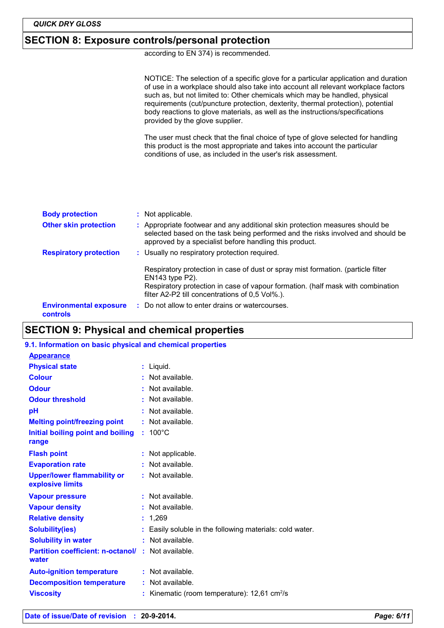## **SECTION 8: Exposure controls/personal protection**

according to EN 374) is recommended.

NOTICE: The selection of a specific glove for a particular application and duration of use in a workplace should also take into account all relevant workplace factors such as, but not limited to: Other chemicals which may be handled, physical requirements (cut/puncture protection, dexterity, thermal protection), potential body reactions to glove materials, as well as the instructions/specifications provided by the glove supplier.

The user must check that the final choice of type of glove selected for handling this product is the most appropriate and takes into account the particular conditions of use, as included in the user's risk assessment.

| <b>Body protection</b>                    | : Not applicable.                                                                                                                                                                                                         |  |
|-------------------------------------------|---------------------------------------------------------------------------------------------------------------------------------------------------------------------------------------------------------------------------|--|
| <b>Other skin protection</b>              | : Appropriate footwear and any additional skin protection measures should be<br>selected based on the task being performed and the risks involved and should be<br>approved by a specialist before handling this product. |  |
| <b>Respiratory protection</b>             | : Usually no respiratory protection required.                                                                                                                                                                             |  |
|                                           | Respiratory protection in case of dust or spray mist formation. (particle filter<br>$EN143$ type $P2$ ).<br>Respiratory protection in case of vapour formation. (half mask with combination                               |  |
|                                           | filter A2-P2 till concentrations of 0,5 Vol%.).                                                                                                                                                                           |  |
| <b>Environmental exposure</b><br>controls | : Do not allow to enter drains or watercourses.                                                                                                                                                                           |  |

## **SECTION 9: Physical and chemical properties**

#### **9.1. Information on basic physical and chemical properties**

| <b>Appearance</b>                                      |                                                          |
|--------------------------------------------------------|----------------------------------------------------------|
| <b>Physical state</b>                                  | : Liquid.                                                |
| <b>Colour</b>                                          | Not available.                                           |
| <b>Odour</b>                                           | $:$ Not available.                                       |
| <b>Odour threshold</b>                                 | : Not available.                                         |
| рH                                                     | Not available.                                           |
| <b>Melting point/freezing point</b>                    | $:$ Not available.                                       |
| Initial boiling point and boiling                      | $: 100^{\circ}$ C                                        |
| range                                                  |                                                          |
| <b>Flash point</b>                                     | : Not applicable.                                        |
| <b>Evaporation rate</b>                                | $:$ Not available.                                       |
| <b>Upper/lower flammability or</b><br>explosive limits | : Not available.                                         |
| <b>Vapour pressure</b>                                 | $:$ Not available.                                       |
| <b>Vapour density</b>                                  | Not available.                                           |
| <b>Relative density</b>                                | 1.269                                                    |
| <b>Solubility(ies)</b>                                 | : Easily soluble in the following materials: cold water. |
| <b>Solubility in water</b>                             | $:$ Not available.                                       |
| <b>Partition coefficient: n-octanol/</b><br>water      | : Not available.                                         |
| <b>Auto-ignition temperature</b>                       | $:$ Not available.                                       |
| <b>Decomposition temperature</b>                       | : Not available.                                         |
| <b>Viscosity</b>                                       | Kinematic (room temperature): $12,61$ cm <sup>2</sup> /s |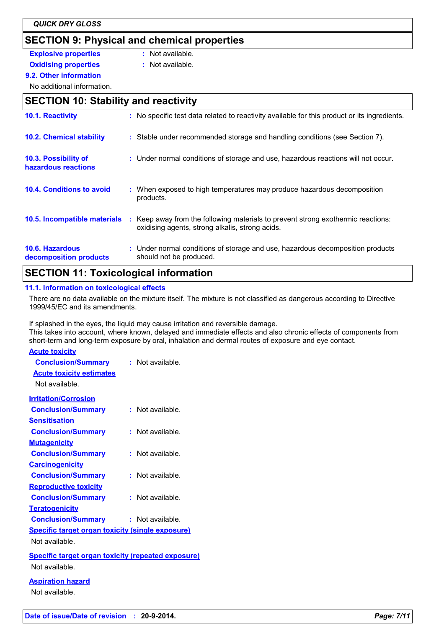# **SECTION 9: Physical and chemical properties**

**Explosive properties :** Not available.

- 
- **Oxidising properties : Not available.**

**9.2. Other information**

No additional information.

# **SECTION 10: Stability and reactivity**

| 10.1. Reactivity                            | : No specific test data related to reactivity available for this product or its ingredients.                                        |
|---------------------------------------------|-------------------------------------------------------------------------------------------------------------------------------------|
| <b>10.2. Chemical stability</b>             | : Stable under recommended storage and handling conditions (see Section 7).                                                         |
| 10.3. Possibility of<br>hazardous reactions | : Under normal conditions of storage and use, hazardous reactions will not occur.                                                   |
| <b>10.4. Conditions to avoid</b>            | : When exposed to high temperatures may produce hazardous decomposition<br>products.                                                |
| 10.5. Incompatible materials                | : Keep away from the following materials to prevent strong exothermic reactions:<br>oxidising agents, strong alkalis, strong acids. |
| 10.6. Hazardous<br>decomposition products   | : Under normal conditions of storage and use, hazardous decomposition products<br>should not be produced.                           |
|                                             |                                                                                                                                     |

# **SECTION 11: Toxicological information**

## **11.1. Information on toxicological effects**

There are no data available on the mixture itself. The mixture is not classified as dangerous according to Directive 1999/45/EC and its amendments.

If splashed in the eyes, the liquid may cause irritation and reversible damage.

This takes into account, where known, delayed and immediate effects and also chronic effects of components from short-term and long-term exposure by oral, inhalation and dermal routes of exposure and eye contact.

### **Acute toxicity**

| <b>Conclusion/Summary</b><br><b>Acute toxicity estimates</b><br>Not available. | : Not available.     |
|--------------------------------------------------------------------------------|----------------------|
| <b>Irritation/Corrosion</b>                                                    |                      |
| <b>Conclusion/Summary</b>                                                      | $:$ Not available.   |
| <u>Sensitisation</u>                                                           |                      |
| <b>Conclusion/Summary</b>                                                      | Not available.<br>t. |
| <b>Mutagenicity</b>                                                            |                      |
| <b>Conclusion/Summary</b>                                                      | : Not available.     |
| <b>Carcinogenicity</b>                                                         |                      |
| <b>Conclusion/Summary</b>                                                      | $:$ Not available.   |
| <b>Reproductive toxicity</b>                                                   |                      |
| <b>Conclusion/Summary</b>                                                      | : Not available.     |
| <b>Teratogenicity</b>                                                          |                      |
| <b>Conclusion/Summary</b>                                                      | : Not available.     |
| <b>Specific target organ toxicity (single exposure)</b>                        |                      |
| Not available.                                                                 |                      |
| <b>Specific target organ toxicity (repeated exposure)</b>                      |                      |
| Not available.                                                                 |                      |
| <b>Aspiration hazard</b>                                                       |                      |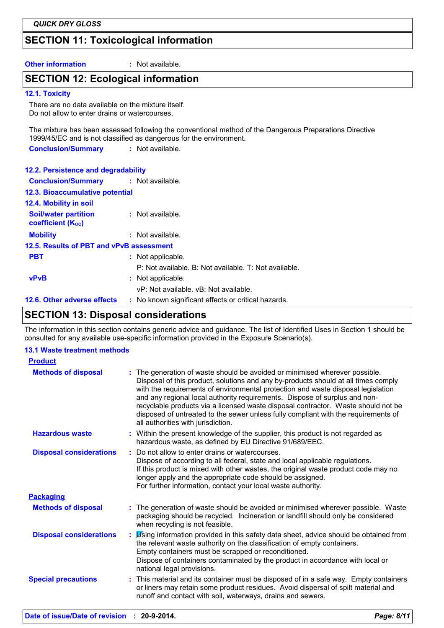# **SECTION 11: Toxicological information**

**Other information :** Not available.

## **SECTION 12: Ecological information**

#### **12.1. Toxicity**

There are no data available on the mixture itself. Do not allow to enter drains or watercourses.

The mixture has been assessed following the conventional method of the Dangerous Preparations Directive 1999/45/EC and is not classified as dangerous for the environment.

**Conclusion/Summary :** Not available.

### **12.2. Persistence and degradability**

| <b>Conclusion/Summary : Not available.</b>              |                                                       |  |  |  |
|---------------------------------------------------------|-------------------------------------------------------|--|--|--|
| 12.3. Bioaccumulative potential                         |                                                       |  |  |  |
| 12.4. Mobility in soil                                  |                                                       |  |  |  |
| <b>Soil/water partition</b><br><b>coefficient (Koc)</b> | : Not available.                                      |  |  |  |
| <b>Mobility</b>                                         | : Not available.                                      |  |  |  |
| 12.5. Results of PBT and vPvB assessment                |                                                       |  |  |  |
| <b>PBT</b>                                              | : Not applicable.                                     |  |  |  |
|                                                         | P: Not available. B: Not available. T: Not available. |  |  |  |
| <b>vPvB</b>                                             | : Not applicable.                                     |  |  |  |
|                                                         | vP: Not available, vB: Not available.                 |  |  |  |
| 12.6. Other adverse effects                             | : No known significant effects or critical hazards.   |  |  |  |

# **SECTION 13: Disposal considerations**

The information in this section contains generic advice and guidance. The list of Identified Uses in Section 1 should be consulted for any available use-specific information provided in the Exposure Scenario(s).

#### **13.1 Waste treatment methods**

| <b>Product</b>                 |                                                                                                                                                                                                                                                                                                                                                                                                                                                                                                                                                      |
|--------------------------------|------------------------------------------------------------------------------------------------------------------------------------------------------------------------------------------------------------------------------------------------------------------------------------------------------------------------------------------------------------------------------------------------------------------------------------------------------------------------------------------------------------------------------------------------------|
| <b>Methods of disposal</b>     | : The generation of waste should be avoided or minimised wherever possible.<br>Disposal of this product, solutions and any by-products should at all times comply<br>with the requirements of environmental protection and waste disposal legislation<br>and any regional local authority requirements. Dispose of surplus and non-<br>recyclable products via a licensed waste disposal contractor. Waste should not be<br>disposed of untreated to the sewer unless fully compliant with the requirements of<br>all authorities with jurisdiction. |
| <b>Hazardous waste</b>         | : Within the present knowledge of the supplier, this product is not regarded as<br>hazardous waste, as defined by EU Directive 91/689/EEC.                                                                                                                                                                                                                                                                                                                                                                                                           |
| <b>Disposal considerations</b> | : Do not allow to enter drains or watercourses.<br>Dispose of according to all federal, state and local applicable regulations.<br>If this product is mixed with other wastes, the original waste product code may no<br>longer apply and the appropriate code should be assigned.<br>For further information, contact your local waste authority.                                                                                                                                                                                                   |
| <b>Packaging</b>               |                                                                                                                                                                                                                                                                                                                                                                                                                                                                                                                                                      |
| <b>Methods of disposal</b>     | : The generation of waste should be avoided or minimised wherever possible. Waste<br>packaging should be recycled. Incineration or landfill should only be considered<br>when recycling is not feasible.                                                                                                                                                                                                                                                                                                                                             |
| <b>Disposal considerations</b> | : itsing information provided in this safety data sheet, advice should be obtained from<br>the relevant waste authority on the classification of empty containers.<br>Empty containers must be scrapped or reconditioned.<br>Dispose of containers contaminated by the product in accordance with local or<br>national legal provisions.                                                                                                                                                                                                             |
| <b>Special precautions</b>     | : This material and its container must be disposed of in a safe way. Empty containers<br>or liners may retain some product residues. Avoid dispersal of spilt material and<br>runoff and contact with soil, waterways, drains and sewers.                                                                                                                                                                                                                                                                                                            |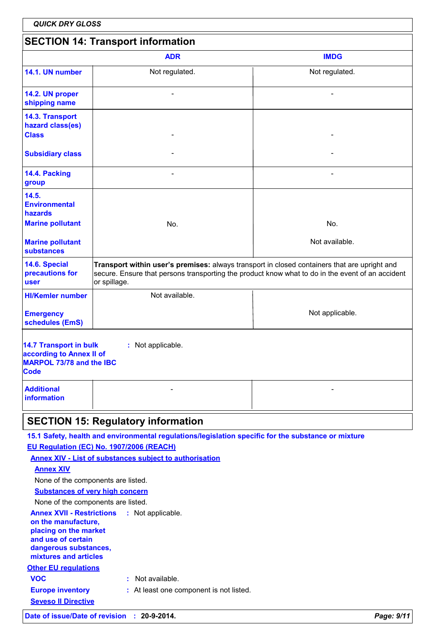| <b>QUICK DRY GLOSS</b>                                                                                                           |                                                                                                                                                                                                                  |                 |  |
|----------------------------------------------------------------------------------------------------------------------------------|------------------------------------------------------------------------------------------------------------------------------------------------------------------------------------------------------------------|-----------------|--|
|                                                                                                                                  | <b>SECTION 14: Transport information</b>                                                                                                                                                                         |                 |  |
|                                                                                                                                  | <b>ADR</b>                                                                                                                                                                                                       | <b>IMDG</b>     |  |
| 14.1. UN number                                                                                                                  | Not regulated.                                                                                                                                                                                                   | Not regulated.  |  |
| 14.2. UN proper<br>shipping name                                                                                                 |                                                                                                                                                                                                                  |                 |  |
| 14.3. Transport<br>hazard class(es)<br><b>Class</b>                                                                              |                                                                                                                                                                                                                  |                 |  |
| <b>Subsidiary class</b>                                                                                                          |                                                                                                                                                                                                                  |                 |  |
| 14.4. Packing<br>group                                                                                                           |                                                                                                                                                                                                                  |                 |  |
| 14.5.<br><b>Environmental</b><br>hazards<br><b>Marine pollutant</b>                                                              | No.                                                                                                                                                                                                              | No.             |  |
| <b>Marine pollutant</b><br>substances                                                                                            |                                                                                                                                                                                                                  | Not available.  |  |
| 14.6. Special<br>precautions for<br><b>user</b>                                                                                  | Transport within user's premises: always transport in closed containers that are upright and<br>secure. Ensure that persons transporting the product know what to do in the event of an accident<br>or spillage. |                 |  |
| <b>HI/Kemler number</b>                                                                                                          | Not available.                                                                                                                                                                                                   |                 |  |
| <b>Emergency</b><br>schedules (EmS)                                                                                              |                                                                                                                                                                                                                  | Not applicable. |  |
| <b>14.7 Transport in bulk</b><br>: Not applicable.<br>according to Annex II of<br><b>MARPOL 73/78 and the IBC</b><br><b>Code</b> |                                                                                                                                                                                                                  |                 |  |
| <b>Additional</b><br><b>information</b>                                                                                          |                                                                                                                                                                                                                  |                 |  |
| <b>SECTION 15: Regulatory information</b>                                                                                        |                                                                                                                                                                                                                  |                 |  |
|                                                                                                                                  | 15.1 Safety, health and environmental regulations/legislation specific for the substance or mixture                                                                                                              |                 |  |
|                                                                                                                                  | EU Regulation (EC) No. 1907/2006 (REACH)                                                                                                                                                                         |                 |  |
|                                                                                                                                  | <b>Annex XIV - List of substances subject to authorisation</b>                                                                                                                                                   |                 |  |
| <b>Annex XIV</b>                                                                                                                 |                                                                                                                                                                                                                  |                 |  |
| None of the components are listed.                                                                                               |                                                                                                                                                                                                                  |                 |  |
| <b>Substances of very high concern</b>                                                                                           |                                                                                                                                                                                                                  |                 |  |
| None of the components are listed.                                                                                               |                                                                                                                                                                                                                  |                 |  |
| <b>Annex XVII - Restrictions</b><br>: Not applicable.<br>on the manufacture,<br>placing on the market                            |                                                                                                                                                                                                                  |                 |  |
| and use of certain<br>dangerous substances,<br>mixtures and articles                                                             |                                                                                                                                                                                                                  |                 |  |
| <b>Other EU regulations</b>                                                                                                      |                                                                                                                                                                                                                  |                 |  |
| : Not available.<br><b>VOC</b>                                                                                                   |                                                                                                                                                                                                                  |                 |  |
| <b>Europe inventory</b><br>: At least one component is not listed.                                                               |                                                                                                                                                                                                                  |                 |  |
| <b>Seveso II Directive</b>                                                                                                       |                                                                                                                                                                                                                  |                 |  |
|                                                                                                                                  | Date of issue/Date of revision : 20-9-2014.                                                                                                                                                                      | Page: 9/11      |  |

 $\overline{\phantom{a}}$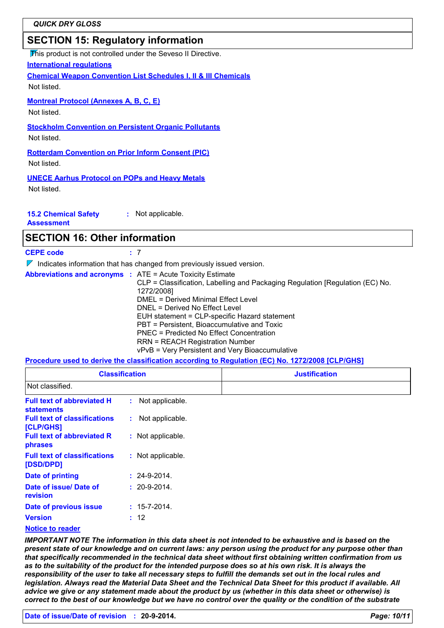# **SECTION 15: Regulatory information**

This product is not controlled under the Seveso II Directive.

**International regulations**

**Chemical Weapon Convention List Schedules I, II & III Chemicals**

Not listed.

**Montreal Protocol (Annexes A, B, C, E)**

Not listed.

**Stockholm Convention on Persistent Organic Pollutants**

Not listed.

**Rotterdam Convention on Prior Inform Consent (PIC)** Not listed.

**UNECE Aarhus Protocol on POPs and Heavy Metals**

Not listed.

**15.2 Chemical Safety :** Not applicable.

**Assessment**

## **SECTION 16: Other information**

**CEPE code :** 7

 $\nabla$  Indicates information that has changed from previously issued version.

| <b>Abbreviations and acronyms : ATE = Acute Toxicity Estimate</b> |                                                                               |
|-------------------------------------------------------------------|-------------------------------------------------------------------------------|
|                                                                   | CLP = Classification, Labelling and Packaging Regulation [Regulation (EC) No. |
|                                                                   | 1272/2008]                                                                    |
|                                                                   | DMEL = Derived Minimal Effect Level                                           |
|                                                                   | DNEL = Derived No Effect Level                                                |
|                                                                   | EUH statement = CLP-specific Hazard statement                                 |
|                                                                   | PBT = Persistent, Bioaccumulative and Toxic                                   |
|                                                                   | <b>PNEC</b> = Predicted No Effect Concentration                               |
|                                                                   | <b>RRN = REACH Registration Number</b>                                        |
|                                                                   | vPvB = Very Persistent and Very Bioaccumulative                               |

**Procedure used to derive the classification according to Regulation (EC) No. 1272/2008 [CLP/GHS]**

| <b>Classification</b>                                  |                    | <b>Justification</b> |
|--------------------------------------------------------|--------------------|----------------------|
| Not classified.                                        |                    |                      |
| <b>Full text of abbreviated H</b><br><b>statements</b> | : Not applicable.  |                      |
| <b>Full text of classifications</b><br>[CLP/GHS]       | : Not applicable.  |                      |
| <b>Full text of abbreviated R</b><br>phrases           | : Not applicable.  |                      |
| <b>Full text of classifications</b><br>[DSD/DPD]       | : Not applicable.  |                      |
| <b>Date of printing</b>                                | $: 24 - 9 - 2014.$ |                      |
| Date of issue/ Date of<br>revision                     | $: 20 - 9 - 2014.$ |                      |
| Date of previous issue                                 | $: 15 - 7 - 2014.$ |                      |
| <b>Version</b>                                         | : 12               |                      |
| <b>Notice to reader</b>                                |                    |                      |

*IMPORTANT NOTE The information in this data sheet is not intended to be exhaustive and is based on the present state of our knowledge and on current laws: any person using the product for any purpose other than that specifically recommended in the technical data sheet without first obtaining written confirmation from us as to the suitability of the product for the intended purpose does so at his own risk. It is always the responsibility of the user to take all necessary steps to fulfill the demands set out in the local rules and legislation. Always read the Material Data Sheet and the Technical Data Sheet for this product if available. All advice we give or any statement made about the product by us (whether in this data sheet or otherwise) is correct to the best of our knowledge but we have no control over the quality or the condition of the substrate*